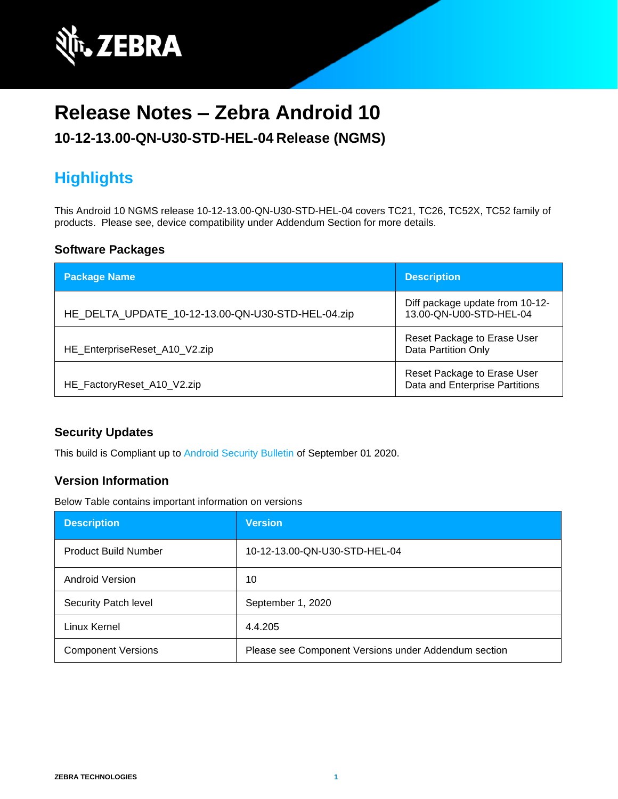

# **Release Notes – Zebra Android 10**

#### **10-12-13.00-QN-U30-STD-HEL-04 Release (NGMS)**

## **Highlights**

This Android 10 NGMS release 10-12-13.00-QN-U30-STD-HEL-04 covers TC21, TC26, TC52X, TC52 family of products. Please see, device compatibility under Addendum Section for more details.

#### **Software Packages**

| <b>Package Name</b>                               | <b>Description</b>                                            |
|---------------------------------------------------|---------------------------------------------------------------|
| HE_DELTA_UPDATE_10-12-13.00-QN-U30-STD-HEL-04.zip | Diff package update from 10-12-<br>13.00-QN-U00-STD-HEL-04    |
| HE_EnterpriseReset_A10_V2.zip                     | Reset Package to Erase User<br>Data Partition Only            |
| HE_FactoryReset_A10_V2.zip                        | Reset Package to Erase User<br>Data and Enterprise Partitions |

#### **Security Updates**

This build is Compliant up to [Android Security Bulletin](https://source.android.com/security/bulletin/) of September 01 2020.

#### **Version Information**

Below Table contains important information on versions

| <b>Description</b>          | <b>Version</b>                                       |
|-----------------------------|------------------------------------------------------|
| <b>Product Build Number</b> | 10-12-13.00-QN-U30-STD-HEL-04                        |
| Android Version             | 10                                                   |
| Security Patch level        | September 1, 2020                                    |
| Linux Kernel                | 4.4.205                                              |
| <b>Component Versions</b>   | Please see Component Versions under Addendum section |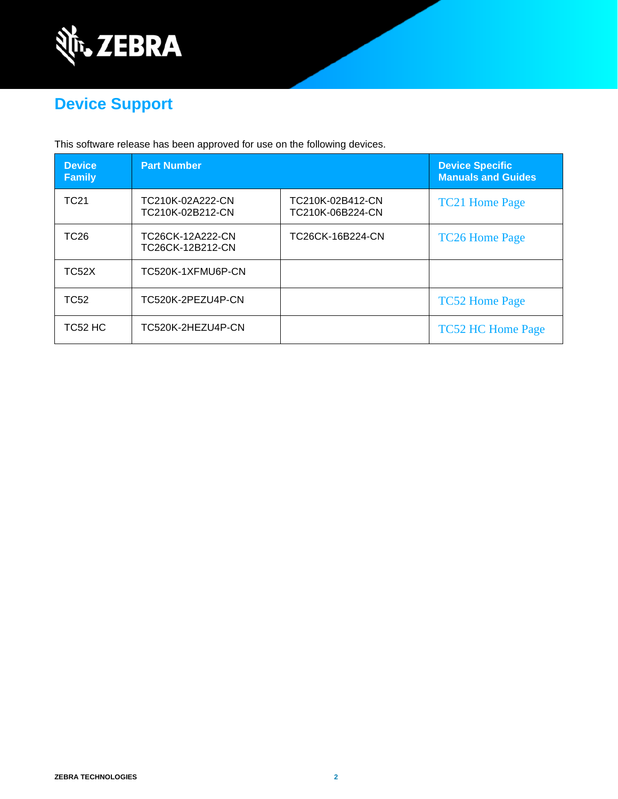

# **Device Support**

This software release has been approved for use on the following devices.

| <b>Device</b><br><b>Family</b> | <b>Part Number</b>                   |                                      | <b>Device Specific</b><br><b>Manuals and Guides</b> |
|--------------------------------|--------------------------------------|--------------------------------------|-----------------------------------------------------|
| TC <sub>21</sub>               | TC210K-02A222-CN<br>TC210K-02B212-CN | TC210K-02B412-CN<br>TC210K-06B224-CN | <b>TC21 Home Page</b>                               |
| TC <sub>26</sub>               | TC26CK-12A222-CN<br>TC26CK-12B212-CN | TC26CK-16B224-CN                     | <b>TC26 Home Page</b>                               |
| TC52X                          | TC520K-1XFMU6P-CN                    |                                      |                                                     |
| TC52                           | TC520K-2PEZU4P-CN                    |                                      | <b>TC52 Home Page</b>                               |
| TC52 HC                        | TC520K-2HEZU4P-CN                    |                                      | <b>TC52 HC Home Page</b>                            |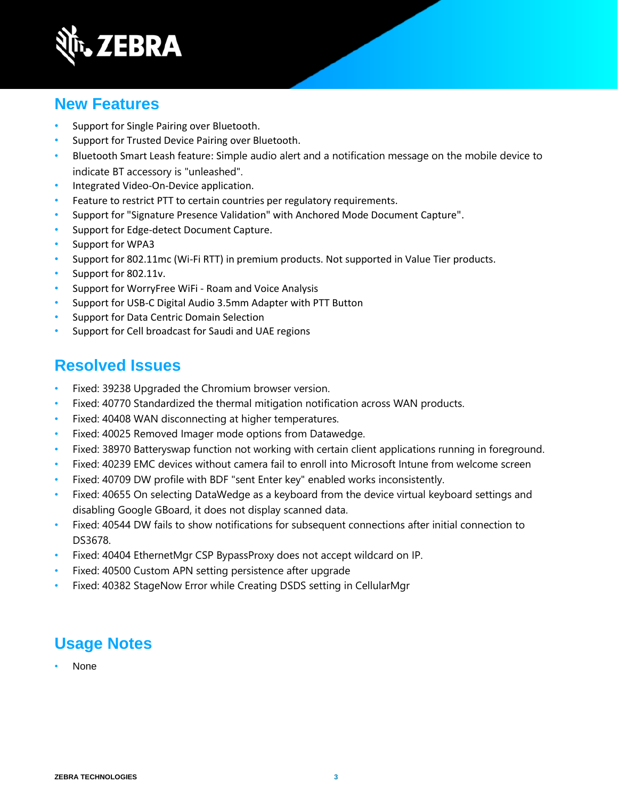

### **New Features**

- Support for Single Pairing over Bluetooth.
- Support for Trusted Device Pairing over Bluetooth.
- Bluetooth Smart Leash feature: Simple audio alert and a notification message on the mobile device to indicate BT accessory is "unleashed".
- Integrated Video-On-Device application.
- Feature to restrict PTT to certain countries per regulatory requirements.
- Support for "Signature Presence Validation" with Anchored Mode Document Capture".
- Support for Edge-detect Document Capture.
- Support for WPA3
- Support for 802.11mc (Wi-Fi RTT) in premium products. Not supported in Value Tier products.
- Support for 802.11v.
- Support for WorryFree WiFi Roam and Voice Analysis
- Support for USB-C Digital Audio 3.5mm Adapter with PTT Button
- Support for Data Centric Domain Selection
- Support for Cell broadcast for Saudi and UAE regions

#### **Resolved Issues**

- Fixed: 39238 Upgraded the Chromium browser version.
- Fixed: 40770 Standardized the thermal mitigation notification across WAN products.
- Fixed: 40408 WAN disconnecting at higher temperatures.
- Fixed: 40025 Removed Imager mode options from Datawedge.
- Fixed: 38970 Batteryswap function not working with certain client applications running in foreground.
- Fixed: 40239 EMC devices without camera fail to enroll into Microsoft Intune from welcome screen
- Fixed: 40709 DW profile with BDF "sent Enter key" enabled works inconsistently.
- Fixed: 40655 On selecting DataWedge as a keyboard from the device virtual keyboard settings and disabling Google GBoard, it does not display scanned data.
- Fixed: 40544 DW fails to show notifications for subsequent connections after initial connection to DS3678.
- Fixed: 40404 EthernetMgr CSP BypassProxy does not accept wildcard on IP.
- Fixed: 40500 Custom APN setting persistence after upgrade
- Fixed: 40382 StageNow Error while Creating DSDS setting in CellularMgr

## **Usage Notes**

• None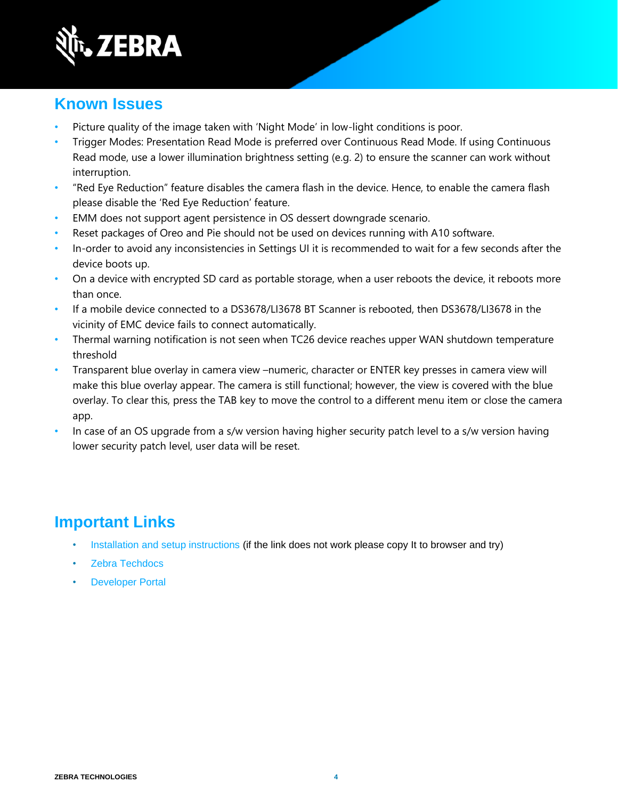

### **Known Issues**

- Picture quality of the image taken with 'Night Mode' in low-light conditions is poor.
- Trigger Modes: Presentation Read Mode is preferred over Continuous Read Mode. If using Continuous Read mode, use a lower illumination brightness setting (e.g. 2) to ensure the scanner can work without interruption.
- "Red Eye Reduction" feature disables the camera flash in the device. Hence, to enable the camera flash please disable the 'Red Eye Reduction' feature.
- EMM does not support agent persistence in OS dessert downgrade scenario.
- Reset packages of Oreo and Pie should not be used on devices running with A10 software.
- In-order to avoid any inconsistencies in Settings UI it is recommended to wait for a few seconds after the device boots up.
- On a device with encrypted SD card as portable storage, when a user reboots the device, it reboots more than once.
- If a mobile device connected to a DS3678/LI3678 BT Scanner is rebooted, then DS3678/LI3678 in the vicinity of EMC device fails to connect automatically.
- Thermal warning notification is not seen when TC26 device reaches upper WAN shutdown temperature threshold
- Transparent blue overlay in camera view –numeric, character or ENTER key presses in camera view will make this blue overlay appear. The camera is still functional; however, the view is covered with the blue overlay. To clear this, press the TAB key to move the control to a different menu item or close the camera app.
- In case of an OS upgrade from a s/w version having higher security patch level to a s/w version having lower security patch level, user data will be reset.

## **Important Links**

- [Installation and setup instructions](https://www.zebra.com/content/dam/zebra_new_ia/en-us/software/operating-system/helios/a10-os-update-instructions.pdf) (if the link does not work please copy It to browser and try)
- [Zebra Techdocs](http://techdocs.zebra.com/)
- **[Developer Portal](http://developer.zebra.com/)**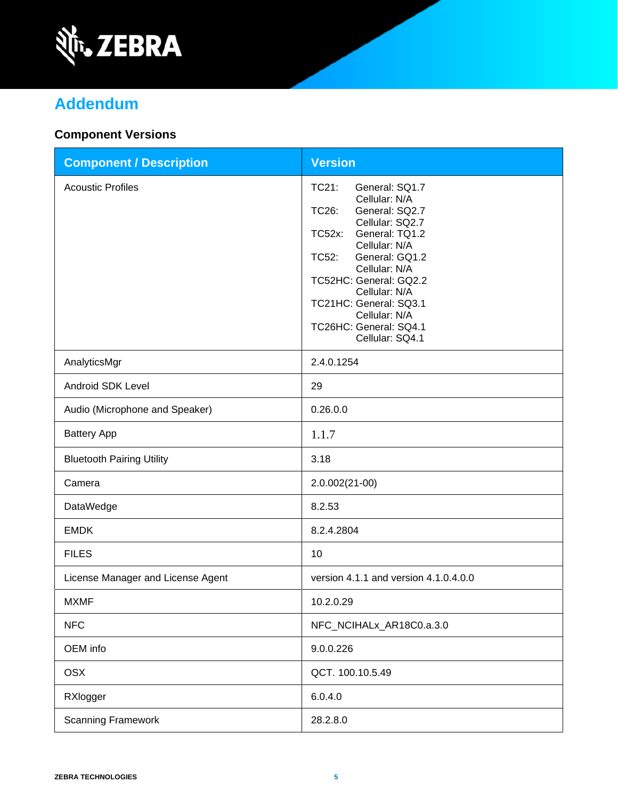

# **Addendum**

### **Component Versions**

| <b>Component / Description</b>    | <b>Version</b>                                                                                                                                                                                                                                                                                                            |
|-----------------------------------|---------------------------------------------------------------------------------------------------------------------------------------------------------------------------------------------------------------------------------------------------------------------------------------------------------------------------|
| <b>Acoustic Profiles</b>          | TC21:<br>General: SQ1.7<br>Cellular: N/A<br>TC26:<br>General: SQ2.7<br>Cellular: SQ2.7<br>General: TQ1.2<br><b>TC52x:</b><br>Cellular: N/A<br>General: GQ1.2<br>TC52:<br>Cellular: N/A<br>TC52HC: General: GQ2.2<br>Cellular: N/A<br>TC21HC: General: SQ3.1<br>Cellular: N/A<br>TC26HC: General: SQ4.1<br>Cellular: SQ4.1 |
| AnalyticsMgr                      | 2.4.0.1254                                                                                                                                                                                                                                                                                                                |
| Android SDK Level                 | 29                                                                                                                                                                                                                                                                                                                        |
| Audio (Microphone and Speaker)    | 0.26.0.0                                                                                                                                                                                                                                                                                                                  |
| <b>Battery App</b>                | 1.1.7                                                                                                                                                                                                                                                                                                                     |
| <b>Bluetooth Pairing Utility</b>  | 3.18                                                                                                                                                                                                                                                                                                                      |
| Camera                            | 2.0.002(21-00)                                                                                                                                                                                                                                                                                                            |
| DataWedge                         | 8.2.53                                                                                                                                                                                                                                                                                                                    |
| <b>EMDK</b>                       | 8.2.4.2804                                                                                                                                                                                                                                                                                                                |
| <b>FILES</b>                      | 10                                                                                                                                                                                                                                                                                                                        |
| License Manager and License Agent | version 4.1.1 and version 4.1.0.4.0.0                                                                                                                                                                                                                                                                                     |
| <b>MXMF</b>                       | 10.2.0.29                                                                                                                                                                                                                                                                                                                 |
| <b>NFC</b>                        | NFC_NCIHALx_AR18C0.a.3.0                                                                                                                                                                                                                                                                                                  |
| OEM info                          | 9.0.0.226                                                                                                                                                                                                                                                                                                                 |
| <b>OSX</b>                        | QCT. 100.10.5.49                                                                                                                                                                                                                                                                                                          |
| RXlogger                          | 6.0.4.0                                                                                                                                                                                                                                                                                                                   |
| <b>Scanning Framework</b>         | 28.2.8.0                                                                                                                                                                                                                                                                                                                  |